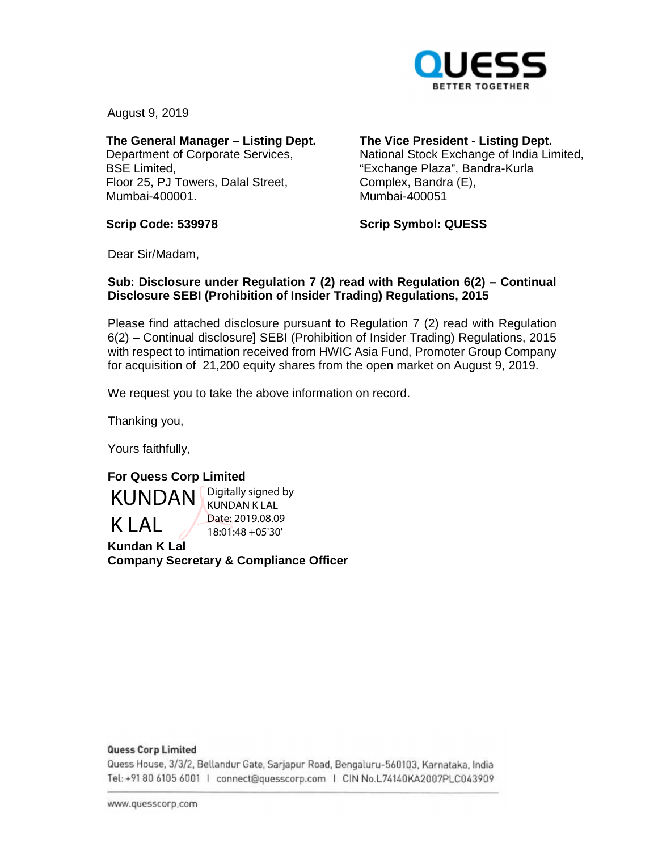

August 9, 2019

**The General Manager – Listing Dept.**  Department of Corporate Services, BSE Limited, Floor 25, PJ Towers, Dalal Street, Mumbai-400001.

**The Vice President - Listing Dept.** 

National Stock Exchange of India Limited, "Exchange Plaza", Bandra-Kurla Complex, Bandra (E), Mumbai-400051

**Scrip Code: 539978** 

**Scrip Symbol: QUESS** 

Dear Sir/Madam,

## **Sub: Disclosure under Regulation 7 (2) read with Regulation 6(2) – Continual Disclosure SEBI (Prohibition of Insider Trading) Regulations, 2015**

Please find attached disclosure pursuant to Regulation 7 (2) read with Regulation 6(2) – Continual disclosure] SEBI (Prohibition of Insider Trading) Regulations, 2015 with respect to intimation received from HWIC Asia Fund, Promoter Group Company for acquisition of 21,200 equity shares from the open market on August 9, 2019.

We request you to take the above information on record.

Thanking you,

Yours faithfully,

**For Quess Corp Limited Kundan K Lal Company Secretary & Compliance Officer**  KUNDAN K LAL Digitally signed by KUNDAN K LAL Date: 2019.08.09 18:01:48 +05'30'

#### **Quess Corp Limited**

Quess House, 3/3/2, Bellandur Gate, Sarjapur Road, Bengaluru-560103, Karnataka, India om <sup>0</sup>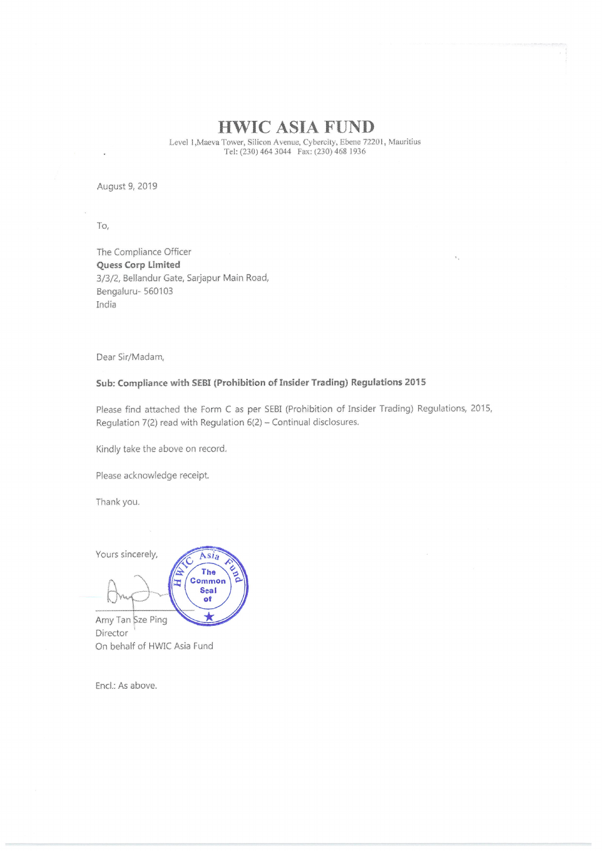# HWIC ASIA FUND

Level 1, Maeva Tower, Silicon Avenue, Cybercity, Ebene 72201, Mauritius Tel: (230) 464 3044 Fax: (230) 468 1936

August 9, 2019

To,

The Compliance Officer Quess Corp Limited 3/3/2, BeHandur Sarjapur Main Road, Benqaluru- 560103 India

Dear Sir/Madam,

### Sub: Compliance wlth SEBI (Prohibition of Insider Trading) Regulations <sup>2015</sup>

Please find attached the Form <sup>C</sup> as per SEBI (Prohibition of Insider Trading} Regulations, 2015, Regulation 7(2) read with Regulation 6(2) - Continual disclosures.

Kindly take the above on record.

Please acknowledge receipt

Thank you.

Yours sincerely, Asia The Common E Seal of Amy Tan Sze Ping

Director On behalf of HWIC Asia Fund

End: As above,